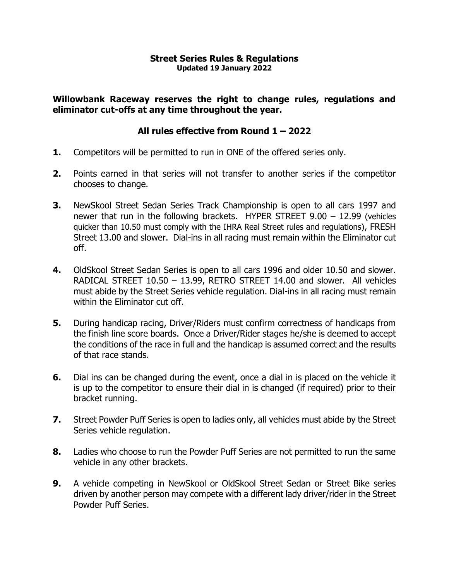### **Street Series Rules & Regulations Updated 19 January 2022**

**Willowbank Raceway reserves the right to change rules, regulations and eliminator cut-offs at any time throughout the year.**

### **All rules effective from Round 1 – 2022**

- **1.** Competitors will be permitted to run in ONE of the offered series only.
- **2.** Points earned in that series will not transfer to another series if the competitor chooses to change.
- **3.** NewSkool Street Sedan Series Track Championship is open to all cars 1997 and newer that run in the following brackets. HYPER STREET 9.00 – 12.99 (vehicles quicker than 10.50 must comply with the IHRA Real Street rules and regulations), FRESH Street 13.00 and slower. Dial-ins in all racing must remain within the Eliminator cut off.
- **4.** OldSkool Street Sedan Series is open to all cars 1996 and older 10.50 and slower. RADICAL STREET 10.50 – 13.99, RETRO STREET 14.00 and slower. All vehicles must abide by the Street Series vehicle regulation. Dial-ins in all racing must remain within the Fliminator cut off.
- **5.** During handicap racing, Driver/Riders must confirm correctness of handicaps from the finish line score boards. Once a Driver/Rider stages he/she is deemed to accept the conditions of the race in full and the handicap is assumed correct and the results of that race stands.
- **6.** Dial ins can be changed during the event, once a dial in is placed on the vehicle it is up to the competitor to ensure their dial in is changed (if required) prior to their bracket running.
- **7.** Street Powder Puff Series is open to ladies only, all vehicles must abide by the Street Series vehicle regulation.
- **8.** Ladies who choose to run the Powder Puff Series are not permitted to run the same vehicle in any other brackets.
- **9.** A vehicle competing in NewSkool or OldSkool Street Sedan or Street Bike series driven by another person may compete with a different lady driver/rider in the Street Powder Puff Series.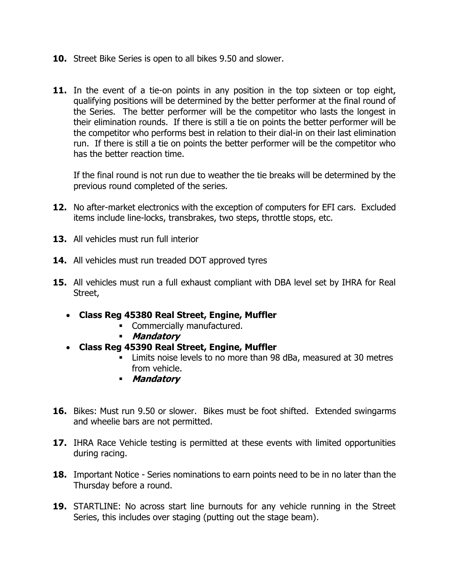- **10.** Street Bike Series is open to all bikes 9.50 and slower.
- **11.** In the event of a tie-on points in any position in the top sixteen or top eight, qualifying positions will be determined by the better performer at the final round of the Series. The better performer will be the competitor who lasts the longest in their elimination rounds. If there is still a tie on points the better performer will be the competitor who performs best in relation to their dial-in on their last elimination run. If there is still a tie on points the better performer will be the competitor who has the better reaction time.

If the final round is not run due to weather the tie breaks will be determined by the previous round completed of the series.

- **12.** No after-market electronics with the exception of computers for EFI cars. Excluded items include line-locks, transbrakes, two steps, throttle stops, etc.
- **13.** All vehicles must run full interior
- **14.** All vehicles must run treaded DOT approved tyres
- **15.** All vehicles must run a full exhaust compliant with DBA level set by IHRA for Real Street,
	- **Class Reg 45380 Real Street, Engine, Muffler** 
		- **•** Commercially manufactured.
		- **Mandatory**
	- **Class Reg 45390 Real Street, Engine, Muffler** 
		- Limits noise levels to no more than 98 dBa, measured at 30 metres from vehicle.
		- **Mandatory**
- **16.** Bikes: Must run 9.50 or slower. Bikes must be foot shifted. Extended swingarms and wheelie bars are not permitted.
- **17.** IHRA Race Vehicle testing is permitted at these events with limited opportunities during racing.
- **18.** Important Notice Series nominations to earn points need to be in no later than the Thursday before a round.
- **19.** STARTLINE: No across start line burnouts for any vehicle running in the Street Series, this includes over staging (putting out the stage beam).